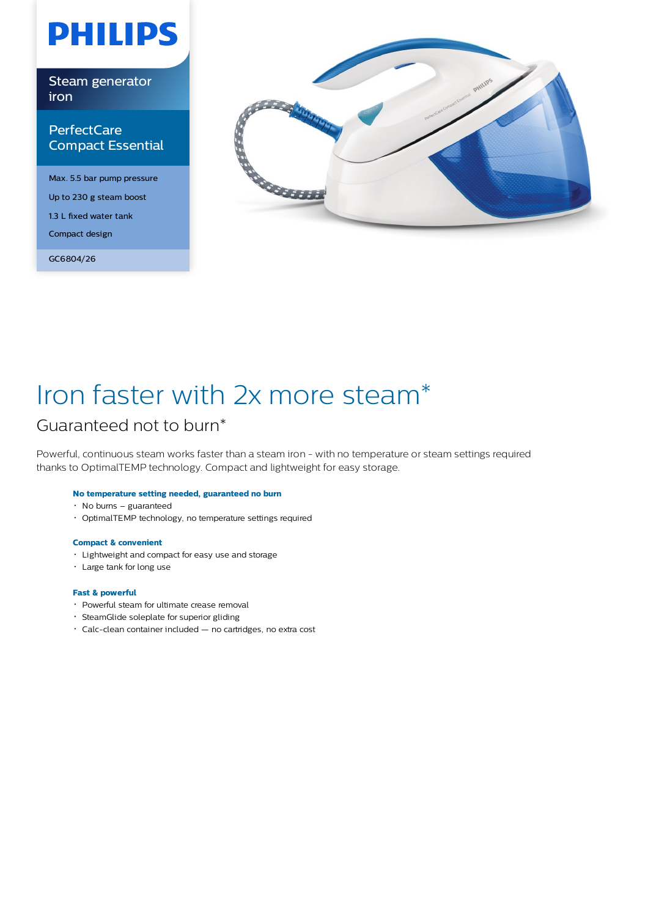# **PHILIPS**

Steam generator iron

# **PerfectCare** Compact Essential

Max. 5.5 bar pump pressure Up to 230 g steam boost 1.3 L fixed water tank Compact design

GC6804/26



# Iron faster with 2x more steam\*

# Guaranteed not to burn\*

Powerful, continuous steam works faster than a steam iron - with no temperature or steam settings required thanks to OptimalTEMP technology. Compact and lightweight for easy storage.

### **No temperature setting needed, guaranteed no burn**

- No burns guaranteed
- OptimalTEMP technology, no temperature settings required

### **Compact & convenient**

- Lightweight and compact for easy use and storage
- Large tank for long use

### **Fast & powerful**

- Powerful steam for ultimate crease removal
- SteamGlide soleplate for superior gliding
- Calc-clean container included no cartridges, no extra cost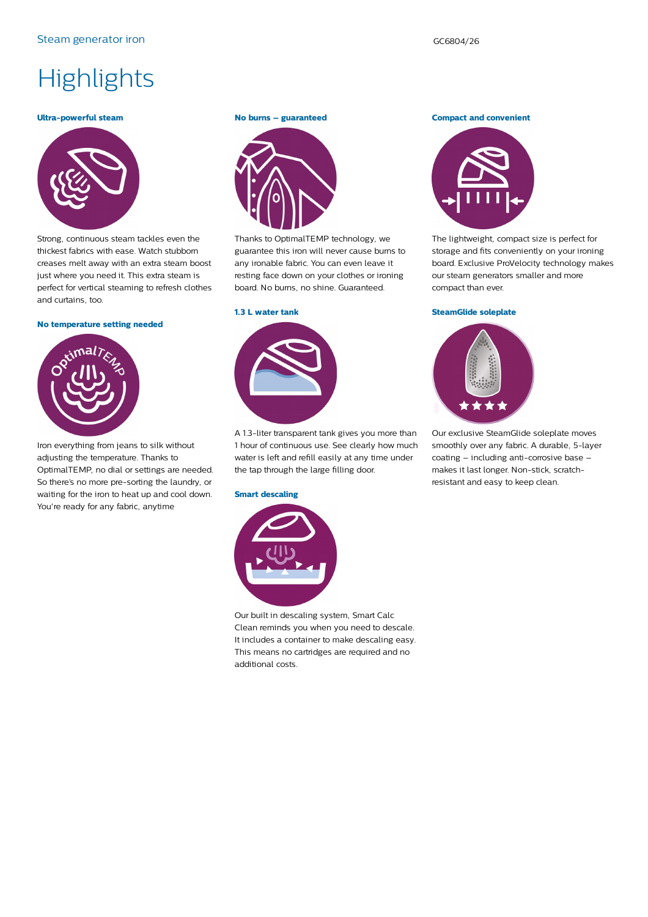# **Highlights**

#### **Ultra-powerful steam**



Strong, continuous steam tackles even the thickest fabrics with ease. Watch stubborn creases melt away with an extra steam boost just where you need it. This extra steam is perfect for vertical steaming to refresh clothes and curtains, too.

#### **No temperature setting needed**



Iron everything from jeans to silk without adjusting the temperature. Thanks to OptimalTEMP, no dial or settings are needed. So there's no more pre-sorting the laundry, or waiting for the iron to heat up and cool down. You're ready for any fabric, anytime

#### **No burns – guaranteed**



Thanks to OptimalTEMP technology, we guarantee this iron will never cause burns to any ironable fabric. You can even leave it resting face down on your clothes or ironing board. No burns, no shine. Guaranteed.

#### **1.3 L water tank**



A 1.3-liter transparent tank gives you more than 1 hour of continuous use. See clearly how much water is left and refill easily at any time under the tap through the large filling door.

#### **Smart descaling**



Our built in descaling system, Smart Calc Clean reminds you when you need to descale. It includes a container to make descaling easy. This means no cartridges are required and no additional costs.

#### **Compact and convenient**



The lightweight, compact size is perfect for storage and fits conveniently on your ironing board. Exclusive ProVelocity technology makes our steam generators smaller and more compact than ever.

#### **SteamGlide soleplate**



Our exclusive SteamGlide soleplate moves smoothly over any fabric. A durable, 5-layer coating – including anti-corrosive base – makes it last longer. Non-stick, scratchresistant and easy to keep clean.